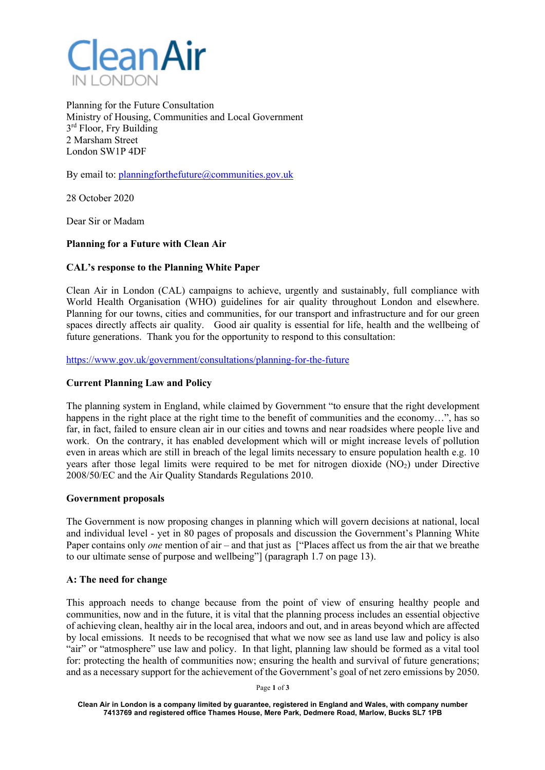

Planning for the Future Consultation Ministry of Housing, Communities and Local Government 3<sup>rd</sup> Floor, Fry Building 2 Marsham Street London SW1P 4DF

By email to: planningforthefuture@communities.gov.uk

28 October 2020

Dear Sir or Madam

# **Planning for a Future with Clean Air**

### **CAL's response to the Planning White Paper**

Clean Air in London (CAL) campaigns to achieve, urgently and sustainably, full compliance with World Health Organisation (WHO) guidelines for air quality throughout London and elsewhere. Planning for our towns, cities and communities, for our transport and infrastructure and for our green spaces directly affects air quality. Good air quality is essential for life, health and the wellbeing of future generations. Thank you for the opportunity to respond to this consultation:

https://www.gov.uk/government/consultations/planning-for-the-future

### **Current Planning Law and Policy**

The planning system in England, while claimed by Government "to ensure that the right development happens in the right place at the right time to the benefit of communities and the economy...", has so far, in fact, failed to ensure clean air in our cities and towns and near roadsides where people live and work. On the contrary, it has enabled development which will or might increase levels of pollution even in areas which are still in breach of the legal limits necessary to ensure population health e.g. 10 years after those legal limits were required to be met for nitrogen dioxide (NO2) under Directive 2008/50/EC and the Air Quality Standards Regulations 2010.

#### **Government proposals**

The Government is now proposing changes in planning which will govern decisions at national, local and individual level - yet in 80 pages of proposals and discussion the Government's Planning White Paper contains only *one* mention of air – and that just as ["Places affect us from the air that we breathe to our ultimate sense of purpose and wellbeing"] (paragraph 1.7 on page 13).

#### **A: The need for change**

This approach needs to change because from the point of view of ensuring healthy people and communities, now and in the future, it is vital that the planning process includes an essential objective of achieving clean, healthy air in the local area, indoors and out, and in areas beyond which are affected by local emissions. It needs to be recognised that what we now see as land use law and policy is also "air" or "atmosphere" use law and policy. In that light, planning law should be formed as a vital tool for: protecting the health of communities now; ensuring the health and survival of future generations; and as a necessary support for the achievement of the Government's goal of net zero emissions by 2050.

Page **1** of **3**

**Clean Air in London is a company limited by guarantee, registered in England and Wales, with company number 7413769 and registered office Thames House, Mere Park, Dedmere Road, Marlow, Bucks SL7 1PB**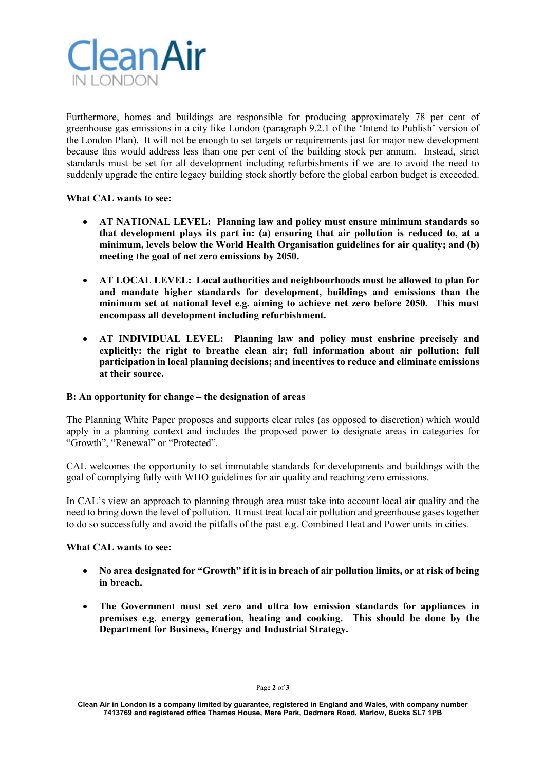

Furthermore, homes and buildings are responsible for producing approximately 78 per cent of greenhouse gas emissions in a city like London (paragraph 9.2.1 of the 'Intend to Publish' version of the London Plan). It will not be enough to set targets or requirements just for major new development because this would address less than one per cent of the building stock per annum. Instead, strict standards must be set for all development including refurbishments if we are to avoid the need to suddenly upgrade the entire legacy building stock shortly before the global carbon budget is exceeded.

## **What CAL wants to see:**

- **AT NATIONAL LEVEL: Planning law and policy must ensure minimum standards so that development plays its part in: (a) ensuring that air pollution is reduced to, at a minimum, levels below the World Health Organisation guidelines for air quality; and (b) meeting the goal of net zero emissions by 2050.**
- **AT LOCAL LEVEL: Local authorities and neighbourhoods must be allowed to plan for and mandate higher standards for development, buildings and emissions than the minimum set at national level e.g. aiming to achieve net zero before 2050. This must encompass all development including refurbishment.**
- **AT INDIVIDUAL LEVEL: Planning law and policy must enshrine precisely and explicitly: the right to breathe clean air; full information about air pollution; full participation in local planning decisions; and incentives to reduce and eliminate emissions at their source.**

#### **B: An opportunity for change – the designation of areas**

The Planning White Paper proposes and supports clear rules (as opposed to discretion) which would apply in a planning context and includes the proposed power to designate areas in categories for "Growth", "Renewal" or "Protected".

CAL welcomes the opportunity to set immutable standards for developments and buildings with the goal of complying fully with WHO guidelines for air quality and reaching zero emissions.

In CAL's view an approach to planning through area must take into account local air quality and the need to bring down the level of pollution. It must treat local air pollution and greenhouse gases together to do so successfully and avoid the pitfalls of the past e.g. Combined Heat and Power units in cities.

#### **What CAL wants to see:**

- **No area designated for "Growth" if it is in breach of air pollution limits, or at risk of being in breach.**
- **The Government must set zero and ultra low emission standards for appliances in premises e.g. energy generation, heating and cooking. This should be done by the Department for Business, Energy and Industrial Strategy.**

**Clean Air in London is a company limited by guarantee, registered in England and Wales, with company number 7413769 and registered office Thames House, Mere Park, Dedmere Road, Marlow, Bucks SL7 1PB**